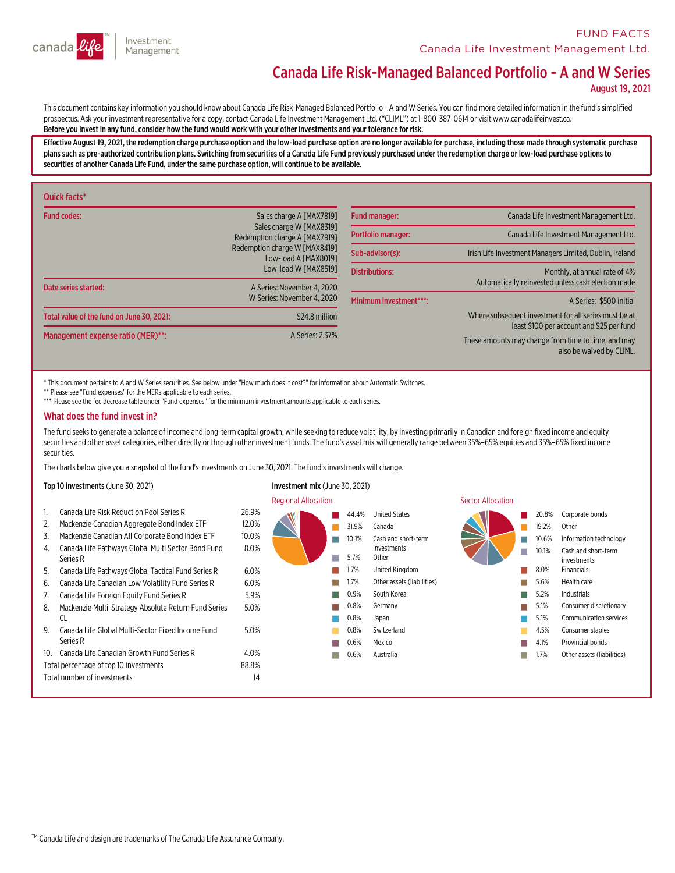

# Canada Life Risk-Managed Balanced Portfolio - A and W Series

August 19, 2021

This document contains key information you should know about Canada Life Risk-Managed Balanced Portfolio - A and W Series. You can find more detailed information in the fund's simplified<br>prospectus. Ask your investment rep Before you invest in any fund,consider how the fund would work with your other investments and your tolerance for risk.

Effective August 19, 2021, the redemption charge purchase option and the low-load purchase option are no longer available for purchase, including those made through systematic purchase<br>plans such as pre-authorized contribu securities of another Canada Life Fund, under the same purchase option, will continue to be available.

| Quick facts*                              |                                                                                       |                                                                                                    |                                                                                     |
|-------------------------------------------|---------------------------------------------------------------------------------------|----------------------------------------------------------------------------------------------------|-------------------------------------------------------------------------------------|
| <b>Fund codes:</b>                        | Sales charge A [MAX7819]<br>Sales charge W [MAX8319]<br>Redemption charge A [MAX7919] | Fund manager:                                                                                      | Canada Life Investment Management Ltd.                                              |
|                                           |                                                                                       | Portfolio manager:                                                                                 | Canada Life Investment Management Ltd.                                              |
|                                           | Redemption charge W [MAX8419]<br>Low-load A [MAX8019]                                 | Sub-advisor(s):                                                                                    | Irish Life Investment Managers Limited, Dublin, Ireland                             |
| Date series started:                      | Low-load W [MAX8519]<br>A Series: November 4, 2020<br>W Series: November 4, 2020      | <b>Distributions:</b>                                                                              | Monthly, at annual rate of 4%<br>Automatically reinvested unless cash election made |
|                                           |                                                                                       | Minimum investment***:                                                                             | A Series: \$500 initial                                                             |
| Total value of the fund on June 30, 2021: | \$24.8 million                                                                        | Where subsequent investment for all series must be at<br>least \$100 per account and \$25 per fund |                                                                                     |
| Management expense ratio (MER)**:         | A Series: 2.37%                                                                       |                                                                                                    | These amounts may change from time to time, and may<br>also be waived by CLIML.     |

\* This document pertains to A and W Series securities. See below under "How much does it cost?" for information about Automatic Switches.

\*\* Please see "Fund expenses" for the MERs applicable to each series.

\*\*\* Please see the fee decrease table under "Fund expenses" for the minimum investment amounts applicable to each series.

## What does the fund invest in?

The fund seeks to generate a balance of income and long-term capital growth, while seeking to reduce volatility, by investing primarily in Canadian and foreign fixed income and equity securities and other asset categories, either directly or through other investment funds. The fund's asset mix will generally range between 35%–65% equities and 35%–65% fixed income securities.

The charts below give you a snapshot of the fund'sinvestments on June 30, 2021. The fund'sinvestments will change.

#### Top 10 investments (June 30, 2021) Investment mix (June 30, 2021)

**Regional Allocation** Sector Allocation 1. Canada Life Risk Reduction Pool Series R 26.9% 2. Mackenzie Canadian Aggregate Bond Index ETF 12.0% 3. Mackenzie Canadian All Corporate Bond Index ETF 10.0% 4. Canada Life Pathways Global Multi Sector Bond Fund<br>Series R 8.0% 5. Canada Life Pathways Global Tactical Fund Series R 6.0% 6. Canada Life Canadian Low Volatility Fund Series R 6.0% 7. Canada Life Foreign Equity Fund Series R 5.9% 8. Mackenzie Multi-Strategy Absolute Return Fund Series<br>CL 5.0% 9. Canada Life Global Multi-Sector Fixed Income Fund<br>Series R 5.0% 10. Canada Life Canadian Growth Fund Series R 4.0% Total percentage of top 10 investments 88.8% Total number of investments 14 n 44.4% United States n 31.9% Canada n 10.1% Cash and short-term investments n 5.7% Other n 1.7% United Kingdom n 1.7% Other assets (liabilities) n 0.9% South Korea n 0.8% Germany n0.8% Japan 0.8% Switzerland n 0.6% Mexico n 0.6% Australia n 20.8% Corporate bonds 19.2% Other n 10.6% Information technology n 10.1% Cash and short-term investments n 8.0% Financials n 5.6% Health care n 5.2% Industrials n 5.1% Consumer discretionary n 5.1% Communication services 4.5% Consumer staples n 4.1% Provincial bonds  $1.7%$ Other assets (liabilities)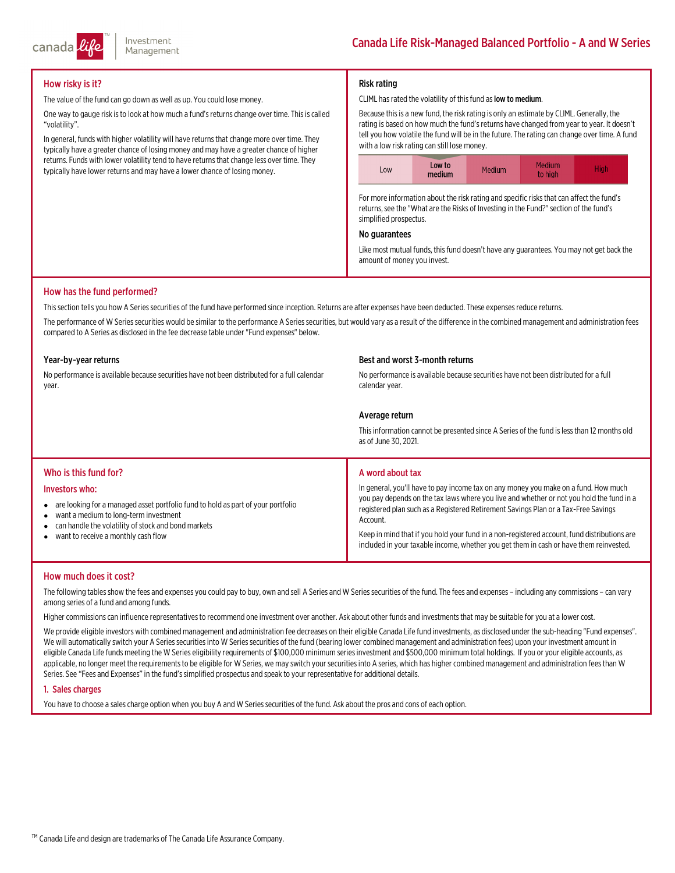

## How risky is it?

The value of the fund can go down as well as up. You could lose money.

One way to gauge risk is to look at how much a fund's returns change over time. This is called "volatility".

In general, funds with higher volatility will have returns that change more over time. They typically have a greater chance of losing money and may have a greater chance of higher returns. Funds with lower volatility tend to have returns that change less over time. They typically have lower returns and may have a lower chance of losing money.

## Risk rating

#### CLIML has rated the volatility of this fund as low to medium.

Because thisis a new fund, the risk rating is only an estimate by CLIML. Generally, the rating is based on how much the fund's returns have changed from year to year. It doesn't tell you how volatile the fund will be in the future. The rating can change over time. A fund with a low risk rating can still lose money.



For more information about the risk rating and specific risks that can affect the fund's returns, see the "What are the Risks of Investing in the Fund?" section of the fund's simplified prospectus.

#### No guarantees

Like most mutual funds, this fund doesn't have any guarantees. You may not get back the amount of money you invest.

## How has the fund performed?

This section tells you how A Series securities of the fund have performed since inception. Returns are after expenses have been deducted. These expenses reduce returns.

The performance of W Series securities would be similar to the performance A Series securities, but would vary as a result of the difference in the combined management and administration fees compared to A Series as disclosed in the fee decrease table under "Fund expenses" below.

#### Year-by-year returns

No performance is available because securities have not been distributed for a full calendar<br>vear.

#### Best and worst 3-month returns

No performance is available because securities have not been distributed for a full calendar year.

## Average return

This information cannot be presented since A Series of the fund is less than 12 months old as of June 30, 2021.

## Who is this fund for?

#### Investors who:

- are looking for a managed asset portfolio fund to hold as part of your portfolio
- $\bullet$ want a medium to long-term investment
- $\bullet$ can handle the volatility of stock and bond markets
- $\bullet$ want to receive a monthly cash flow

## A word about tax

In general, you'll have to pay income tax on any money you make on a fund. How much you pay depends on the tax laws where you live and whether or not you hold the fund in a registered plan such as a Registered Retirement Savings Plan or a Tax-Free Savings<br>Account.

Keep in mind that if you hold your fund in a non-registered account, fund distributions are included in your taxable income, whether you get them in cash or have them reinvested.

## How much does it cost?

The following tables show the fees and expenses you could pay to buy, own and sell A Series and W Series securities of the fund. The fees and expenses – including any commissions – can vary<br>among series of a fund and among

Higher commissionscan influence representativesto recommend one investment over another. Ask about other funds and investmentsthatmay be suitable for you at a lower cost.

We provide eligible investors with combined management and administration fee decreases on their eligible Canada Life fund investments, as disclosed under the sub-heading "Fund expenses".<br>We will automatically switch your

## 1. Sales charges

You have to choose a sales charge option when you buy A and W Series securities of the fund. Ask about the pros and cons of each option.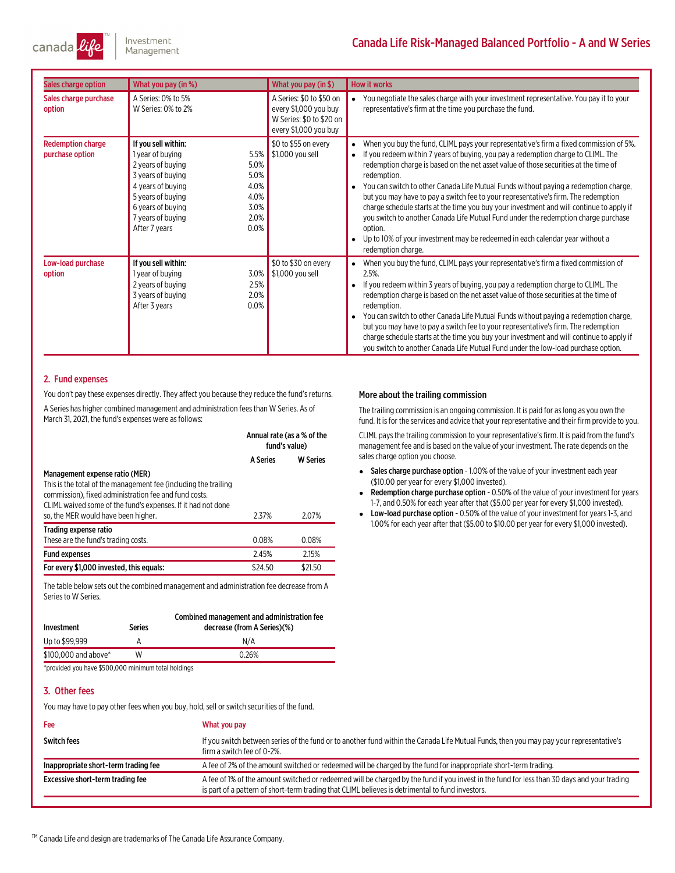

# Canada Life Risk-Managed Balanced Portfolio - A and W Series

| Sales charge option                         | What you pay (in %)                                                                                                                                                                                                                                    | What you pay (in \$)                                                                                   | <b>How it works</b>                                                                                                                                                                                                                                                                                                                                                                                                                                                                                                                                                                                                                                                                                                                                                                           |
|---------------------------------------------|--------------------------------------------------------------------------------------------------------------------------------------------------------------------------------------------------------------------------------------------------------|--------------------------------------------------------------------------------------------------------|-----------------------------------------------------------------------------------------------------------------------------------------------------------------------------------------------------------------------------------------------------------------------------------------------------------------------------------------------------------------------------------------------------------------------------------------------------------------------------------------------------------------------------------------------------------------------------------------------------------------------------------------------------------------------------------------------------------------------------------------------------------------------------------------------|
| Sales charge purchase<br>option             | A Series: 0% to 5%<br>W Series: 0% to 2%                                                                                                                                                                                                               | A Series: \$0 to \$50 on<br>every \$1,000 you buy<br>W Series: \$0 to \$20 on<br>every \$1,000 you buy | You negotiate the sales charge with your investment representative. You pay it to your<br>representative's firm at the time you purchase the fund.                                                                                                                                                                                                                                                                                                                                                                                                                                                                                                                                                                                                                                            |
| <b>Redemption charge</b><br>purchase option | If you sell within:<br>5.5%<br>1 year of buying<br>5.0%<br>2 years of buying<br>5.0%<br>3 years of buying<br>4.0%<br>4 years of buying<br>4.0%<br>5 years of buying<br>3.0%<br>6 years of buying<br>2.0%<br>7 years of buying<br>0.0%<br>After 7 years | \$0 to \$55 on every<br>\$1,000 you sell                                                               | When you buy the fund, CLIML pays your representative's firm a fixed commission of 5%.<br>$\bullet$<br>If you redeem within 7 years of buying, you pay a redemption charge to CLIML. The<br>$\bullet$<br>redemption charge is based on the net asset value of those securities at the time of<br>redemption.<br>You can switch to other Canada Life Mutual Funds without paying a redemption charge,<br>but you may have to pay a switch fee to your representative's firm. The redemption<br>charge schedule starts at the time you buy your investment and will continue to apply if<br>you switch to another Canada Life Mutual Fund under the redemption charge purchase<br>option.<br>Up to 10% of your investment may be redeemed in each calendar year without a<br>redemption charge. |
| Low-load purchase<br>option                 | If you sell within:<br>3.0%<br>1 year of buying<br>2 years of buying<br>2.5%<br>2.0%<br>3 years of buying<br>0.0%<br>After 3 years                                                                                                                     | \$0 to \$30 on every<br>\$1,000 you sell                                                               | When you buy the fund, CLIML pays your representative's firm a fixed commission of<br>$2.5%$ .<br>If you redeem within 3 years of buying, you pay a redemption charge to CLIML. The<br>redemption charge is based on the net asset value of those securities at the time of<br>redemption.<br>You can switch to other Canada Life Mutual Funds without paying a redemption charge,<br>but you may have to pay a switch fee to your representative's firm. The redemption<br>charge schedule starts at the time you buy your investment and will continue to apply if<br>you switch to another Canada Life Mutual Fund under the low-load purchase option.                                                                                                                                     |

## 2. Fund expenses

You don't pay these expenses directly. They affect you because they reduce the fund's returns. A Series has higher combined management and administration fees than W Series. As of March 31, 2021, the fund's expenses were as follows:

|                                                                                                                                                                                                                                                                   | Annual rate (as a % of the<br>fund's value) |                 |
|-------------------------------------------------------------------------------------------------------------------------------------------------------------------------------------------------------------------------------------------------------------------|---------------------------------------------|-----------------|
|                                                                                                                                                                                                                                                                   | <b>A Series</b>                             | <b>W</b> Series |
| Management expense ratio (MER)<br>This is the total of the management fee (including the trailing<br>commission), fixed administration fee and fund costs.<br>CLIML waived some of the fund's expenses. If it had not done<br>so, the MER would have been higher. | 2.37%                                       | 2.07%           |
| Trading expense ratio<br>These are the fund's trading costs.                                                                                                                                                                                                      | 0.08%                                       | 0.08%           |
| <b>Fund expenses</b>                                                                                                                                                                                                                                              | 2.45%                                       | 2.15%           |
| For every \$1,000 invested, this equals:                                                                                                                                                                                                                          | \$24.50                                     | \$21.50         |

The table below sets out the combined management and administration fee decrease from A Series.

| Investment           | Series | Combined management and administration fee<br>decrease (from A Series)(%) |
|----------------------|--------|---------------------------------------------------------------------------|
| Up to \$99,999       |        | N/A                                                                       |
| \$100,000 and above* | W      | 0.26%                                                                     |
|                      |        |                                                                           |

\*provided you have \$500,000 minimum total holdings

## 3. Other fees

You may have to pay other fees when you buy, hold, sell or switch securities of the fund.

## Fee What you pay Switch fees many our representative's If you switch between series of the fund or to another fund within the Canada Life Mutual Funds, then you may pay your representative's firma switch fee of 0-2%. Inappropriate short-term trading fee <br>
A fee of 2% of the amount switched or redeemed will be charged by the fund for inappropriate short-term trading. Excessive short-term trading fee <br>A fee of 1% of the amount switched or redeemed will be charged by the fund if you invest in the fund for less than 30 days and your trading is part of a pattern of short-term trading that CLIML believes is detrimental to fund investors.

More about the trailing commission

CLIML paysthe trailing commission to your representative'sfirm. It is paid fromthe fund's management fee and is based on the value of your investment. The rate depends on the sales charge option you choose.

The trailing commission is an ongoing commission. It is paid for aslong as you own the fund. It is for the services and advice that your representative and their firm provide to you.

- Sales charge purchase option 1.00% of the value of your investment each year (\$10.00 per year for every \$1,000 invested).
- e Redemption charge purchase option - 0.50% of the value of your investment for years 1-7, and 0.50% for each year after that (\$5.00 per year for every \$1,000 invested).
- Low-load purchase option 0.50% of the value of your investment for years 1-3, and 1.00% for each year after that (\$5.00 to \$10.00 per year for every \$1,000 invested).

™ Canada Life and design are trademarks of The Canada Life Assurance Company.